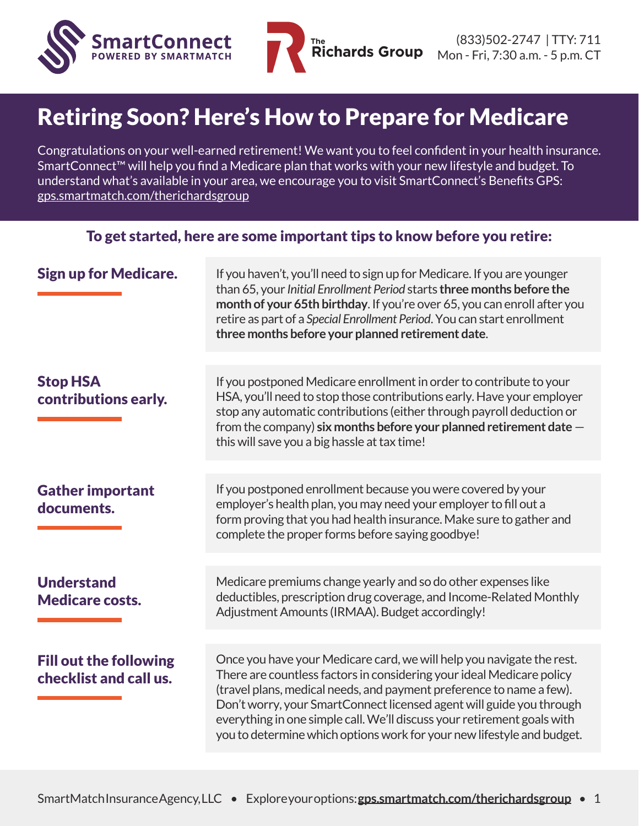

## Retiring Soon? Here's How to Prepare for Medicare

Congratulations on your well-earned retirement! We want you to feel confident in your health insurance. SmartConnect™ will help you find a Medicare plan that works with your new lifestyle and budget. To understand what's available in your area, we encourage you to visit SmartConnect's Benefits GPS: [gps.smartmatch.com/therichardsgroup](http://gps.smartmatch.com/therichardsgroup)

| To get started, here are some important tips to know before you retire: |                                                                                                                                                                                                                                                                                                                                                                                                                                                     |  |  |  |
|-------------------------------------------------------------------------|-----------------------------------------------------------------------------------------------------------------------------------------------------------------------------------------------------------------------------------------------------------------------------------------------------------------------------------------------------------------------------------------------------------------------------------------------------|--|--|--|
| <b>Sign up for Medicare.</b>                                            | If you haven't, you'll need to sign up for Medicare. If you are younger<br>than 65, your Initial Enrollment Period starts three months before the<br>month of your 65th birthday. If you're over 65, you can enroll after you<br>retire as part of a Special Enrollment Period. You can start enrollment<br>three months before your planned retirement date.                                                                                       |  |  |  |
|                                                                         |                                                                                                                                                                                                                                                                                                                                                                                                                                                     |  |  |  |
| <b>Stop HSA</b><br>contributions early.                                 | If you postponed Medicare enrollment in order to contribute to your<br>HSA, you'll need to stop those contributions early. Have your employer<br>stop any automatic contributions (either through payroll deduction or<br>from the company) six months before your planned retirement date $-$<br>this will save you a big hassle at tax time!                                                                                                      |  |  |  |
|                                                                         |                                                                                                                                                                                                                                                                                                                                                                                                                                                     |  |  |  |
| <b>Gather important</b><br>documents.                                   | If you postponed enrollment because you were covered by your<br>employer's health plan, you may need your employer to fill out a<br>form proving that you had health insurance. Make sure to gather and<br>complete the proper forms before saying goodbye!                                                                                                                                                                                         |  |  |  |
|                                                                         |                                                                                                                                                                                                                                                                                                                                                                                                                                                     |  |  |  |
| <b>Understand</b><br><b>Medicare costs.</b>                             | Medicare premiums change yearly and so do other expenses like<br>deductibles, prescription drug coverage, and Income-Related Monthly<br>Adjustment Amounts (IRMAA). Budget accordingly!                                                                                                                                                                                                                                                             |  |  |  |
|                                                                         |                                                                                                                                                                                                                                                                                                                                                                                                                                                     |  |  |  |
| <b>Fill out the following</b><br>checklist and call us.                 | Once you have your Medicare card, we will help you navigate the rest.<br>There are countless factors in considering your ideal Medicare policy<br>(travel plans, medical needs, and payment preference to name a few).<br>Don't worry, your SmartConnect licensed agent will guide you through<br>everything in one simple call. We'll discuss your retirement goals with<br>you to determine which options work for your new lifestyle and budget. |  |  |  |